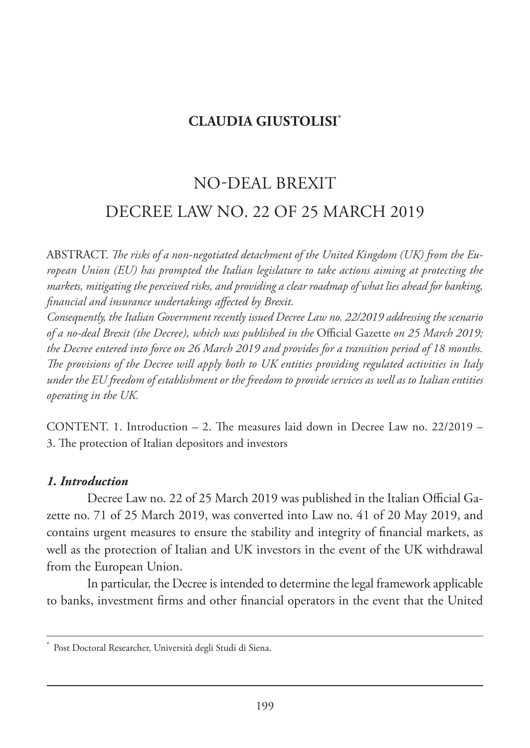# **CLAUDIA GIUSTOLISI\***

# NO-DEAL BREXIT DECREE LAW NO. 22 OF 25 MARCH 2019

ABSTRACT. *The risks of a non-negotiated detachment of the United Kingdom (UK) from the European Union (EU) has prompted the Italian legislature to take actions aiming at protecting the markets, mitigating the perceived risks, and providing a clear roadmap of what lies ahead for banking, financial and insurance undertakings affected by Brexit.*

*Consequently, the Italian Government recently issued Decree Law no. 22/2019 addressing the scenario of a no-deal Brexit (the Decree), which was published in the* Official Gazette *on 25 March 2019; the Decree entered into force on 26 March 2019 and provides for a transition period of 18 months. The provisions of the Decree will apply both to UK entities providing regulated activities in Italy under the EU freedom of establishment or the freedom to provide services as well as to Italian entities operating in the UK.*

CONTENT. 1. Introduction – 2. The measures laid down in Decree Law no. 22/2019 – 3. The protection of Italian depositors and investors

#### *1. Introduction*

Decree Law no. 22 of 25 March 2019 was published in the Italian Official Gazette no. 71 of 25 March 2019, was converted into Law no. 41 of 20 May 2019, and contains urgent measures to ensure the stability and integrity of financial markets, as well as the protection of Italian and UK investors in the event of the UK withdrawal from the European Union.

In particular, the Decree is intended to determine the legal framework applicable to banks, investment firms and other financial operators in the event that the United

Post Doctoral Researcher, Università degli Studi di Siena.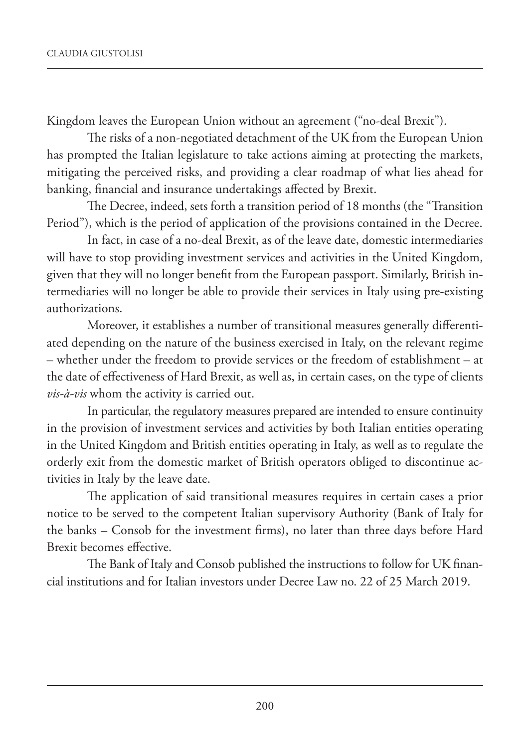Kingdom leaves the European Union without an agreement ("no-deal Brexit").

The risks of a non-negotiated detachment of the UK from the European Union has prompted the Italian legislature to take actions aiming at protecting the markets, mitigating the perceived risks, and providing a clear roadmap of what lies ahead for banking, financial and insurance undertakings affected by Brexit.

The Decree, indeed, sets forth a transition period of 18 months (the "Transition Period"), which is the period of application of the provisions contained in the Decree.

In fact, in case of a no-deal Brexit, as of the leave date, domestic intermediaries will have to stop providing investment services and activities in the United Kingdom, given that they will no longer benefit from the European passport. Similarly, British intermediaries will no longer be able to provide their services in Italy using pre-existing authorizations.

Moreover, it establishes a number of transitional measures generally differentiated depending on the nature of the business exercised in Italy, on the relevant regime – whether under the freedom to provide services or the freedom of establishment – at the date of effectiveness of Hard Brexit, as well as, in certain cases, on the type of clients *vis-à-vis* whom the activity is carried out.

In particular, the regulatory measures prepared are intended to ensure continuity in the provision of investment services and activities by both Italian entities operating in the United Kingdom and British entities operating in Italy, as well as to regulate the orderly exit from the domestic market of British operators obliged to discontinue activities in Italy by the leave date.

The application of said transitional measures requires in certain cases a prior notice to be served to the competent Italian supervisory Authority (Bank of Italy for the banks – Consob for the investment firms), no later than three days before Hard Brexit becomes effective.

The Bank of Italy and Consob published the instructions to follow for UK financial institutions and for Italian investors under Decree Law no. 22 of 25 March 2019.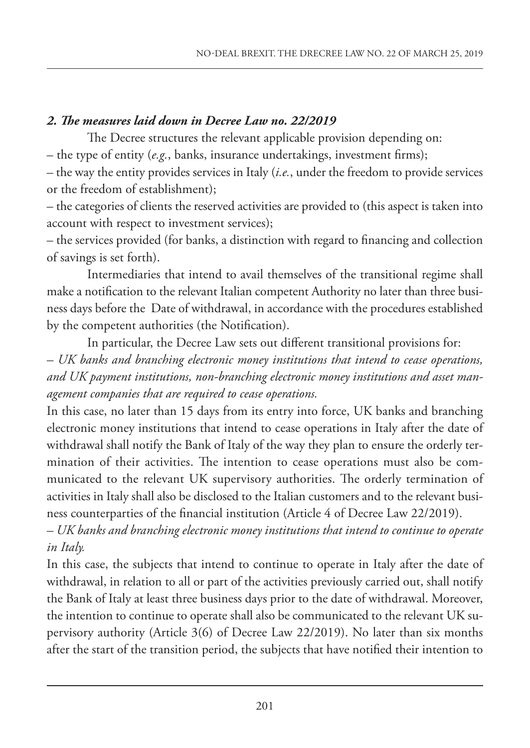## *2. The measures laid down in Decree Law no. 22/2019*

The Decree structures the relevant applicable provision depending on:

– the type of entity (*e.g.*, banks, insurance undertakings, investment firms);

– the way the entity provides services in Italy (*i.e.*, under the freedom to provide services or the freedom of establishment);

– the categories of clients the reserved activities are provided to (this aspect is taken into account with respect to investment services);

– the services provided (for banks, a distinction with regard to financing and collection of savings is set forth).

Intermediaries that intend to avail themselves of the transitional regime shall make a notification to the relevant Italian competent Authority no later than three business days before the Date of withdrawal, in accordance with the procedures established by the competent authorities (the Notification).

In particular, the Decree Law sets out different transitional provisions for:

*– UK banks and branching electronic money institutions that intend to cease operations, and UK payment institutions, non-branching electronic money institutions and asset management companies that are required to cease operations.*

In this case, no later than 15 days from its entry into force, UK banks and branching electronic money institutions that intend to cease operations in Italy after the date of withdrawal shall notify the Bank of Italy of the way they plan to ensure the orderly termination of their activities. The intention to cease operations must also be communicated to the relevant UK supervisory authorities. The orderly termination of activities in Italy shall also be disclosed to the Italian customers and to the relevant business counterparties of the financial institution (Article 4 of Decree Law 22/2019).

*– UK banks and branching electronic money institutions that intend to continue to operate in Italy.* 

In this case, the subjects that intend to continue to operate in Italy after the date of withdrawal, in relation to all or part of the activities previously carried out, shall notify the Bank of Italy at least three business days prior to the date of withdrawal. Moreover, the intention to continue to operate shall also be communicated to the relevant UK supervisory authority (Article 3(6) of Decree Law 22/2019). No later than six months after the start of the transition period, the subjects that have notified their intention to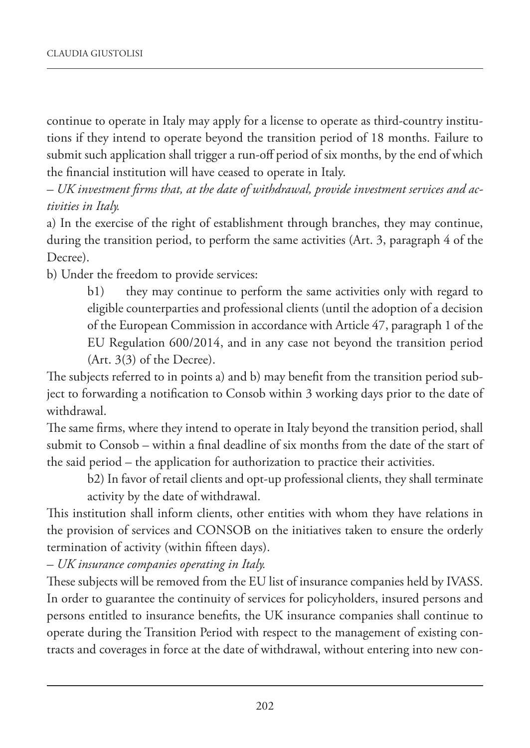continue to operate in Italy may apply for a license to operate as third-country institutions if they intend to operate beyond the transition period of 18 months. Failure to submit such application shall trigger a run-off period of six months, by the end of which the financial institution will have ceased to operate in Italy.

*– UK investment firms that, at the date of withdrawal, provide investment services and activities in Italy.*

a) In the exercise of the right of establishment through branches, they may continue, during the transition period, to perform the same activities (Art. 3, paragraph 4 of the Decree).

b) Under the freedom to provide services:

b1) they may continue to perform the same activities only with regard to eligible counterparties and professional clients (until the adoption of a decision of the European Commission in accordance with Article 47, paragraph 1 of the EU Regulation 600/2014, and in any case not beyond the transition period  $(Art. 3(3)$  of the Decree).

The subjects referred to in points a) and b) may benefit from the transition period subject to forwarding a notification to Consob within 3 working days prior to the date of withdrawal.

The same firms, where they intend to operate in Italy beyond the transition period, shall submit to Consob – within a final deadline of six months from the date of the start of the said period – the application for authorization to practice their activities.

b2) In favor of retail clients and opt-up professional clients, they shall terminate activity by the date of withdrawal.

This institution shall inform clients, other entities with whom they have relations in the provision of services and CONSOB on the initiatives taken to ensure the orderly termination of activity (within fifteen days).

*– UK insurance companies operating in Italy.*

These subjects will be removed from the EU list of insurance companies held by IVASS. In order to guarantee the continuity of services for policyholders, insured persons and persons entitled to insurance benefits, the UK insurance companies shall continue to operate during the Transition Period with respect to the management of existing contracts and coverages in force at the date of withdrawal, without entering into new con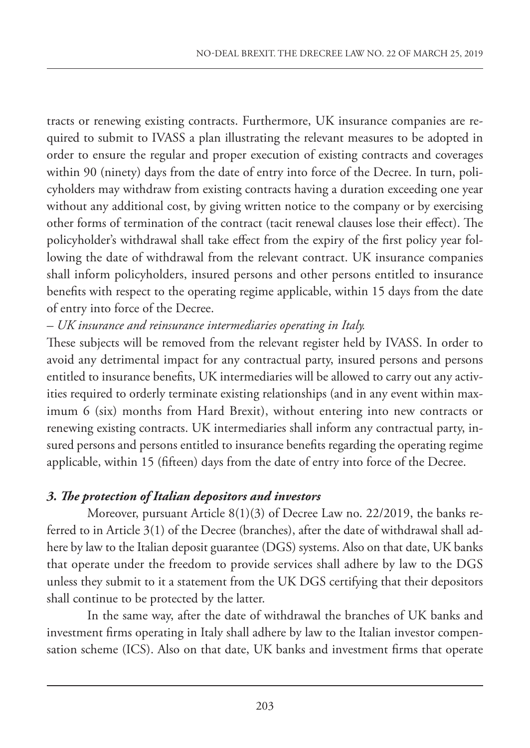tracts or renewing existing contracts. Furthermore, UK insurance companies are required to submit to IVASS a plan illustrating the relevant measures to be adopted in order to ensure the regular and proper execution of existing contracts and coverages within 90 (ninety) days from the date of entry into force of the Decree. In turn, policyholders may withdraw from existing contracts having a duration exceeding one year without any additional cost, by giving written notice to the company or by exercising other forms of termination of the contract (tacit renewal clauses lose their effect). The policyholder's withdrawal shall take effect from the expiry of the first policy year following the date of withdrawal from the relevant contract. UK insurance companies shall inform policyholders, insured persons and other persons entitled to insurance benefits with respect to the operating regime applicable, within 15 days from the date of entry into force of the Decree.

*– UK insurance and reinsurance intermediaries operating in Italy.*

These subjects will be removed from the relevant register held by IVASS. In order to avoid any detrimental impact for any contractual party, insured persons and persons entitled to insurance benefits, UK intermediaries will be allowed to carry out any activities required to orderly terminate existing relationships (and in any event within maximum 6 (six) months from Hard Brexit), without entering into new contracts or renewing existing contracts. UK intermediaries shall inform any contractual party, insured persons and persons entitled to insurance benefits regarding the operating regime applicable, within 15 (fifteen) days from the date of entry into force of the Decree.

## *3. The protection of Italian depositors and investors*

Moreover, pursuant Article 8(1)(3) of Decree Law no. 22/2019, the banks referred to in Article 3(1) of the Decree (branches), after the date of withdrawal shall adhere by law to the Italian deposit guarantee (DGS) systems. Also on that date, UK banks that operate under the freedom to provide services shall adhere by law to the DGS unless they submit to it a statement from the UK DGS certifying that their depositors shall continue to be protected by the latter.

In the same way, after the date of withdrawal the branches of UK banks and investment firms operating in Italy shall adhere by law to the Italian investor compensation scheme (ICS). Also on that date, UK banks and investment firms that operate